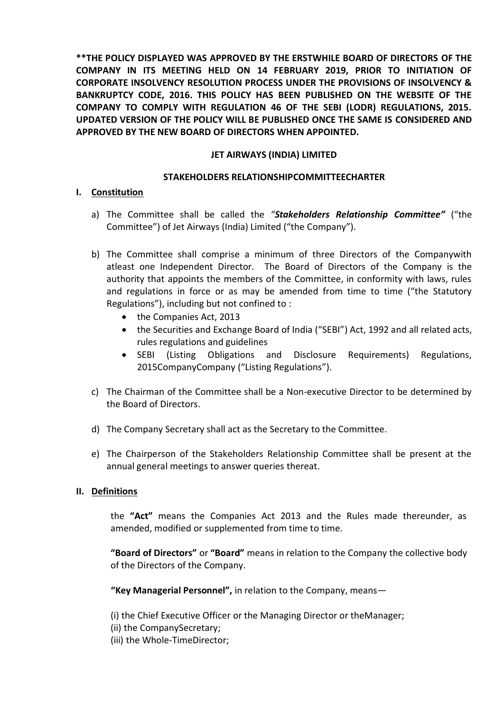**\*\*THE POLICY DISPLAYED WAS APPROVED BY THE ERSTWHILE BOARD OF DIRECTORS OF THE COMPANY IN ITS MEETING HELD ON 14 FEBRUARY 2019, PRIOR TO INITIATION OF CORPORATE INSOLVENCY RESOLUTION PROCESS UNDER THE PROVISIONS OF INSOLVENCY & BANKRUPTCY CODE, 2016. THIS POLICY HAS BEEN PUBLISHED ON THE WEBSITE OF THE COMPANY TO COMPLY WITH REGULATION 46 OF THE SEBI (LODR) REGULATIONS, 2015. UPDATED VERSION OF THE POLICY WILL BE PUBLISHED ONCE THE SAME IS CONSIDERED AND APPROVED BY THE NEW BOARD OF DIRECTORS WHEN APPOINTED.**

# **JET AIRWAYS (INDIA) LIMITED**

## **STAKEHOLDERS RELATIONSHIPCOMMITTEECHARTER**

## **I. Constitution**

- a) The Committee shall be called the *"Stakeholders Relationship Committee"* ("the Committee") of Jet Airways (India) Limited ("the Company").
- b) The Committee shall comprise a minimum of three Directors of the Companywith atleast one Independent Director. The Board of Directors of the Company is the authority that appoints the members of the Committee, in conformity with laws, rules and regulations in force or as may be amended from time to time ("the Statutory Regulations"), including but not confined to :
	- the Companies Act, 2013
	- the Securities and Exchange Board of India ("SEBI") Act, 1992 and all related acts, rules regulations and guidelines
	- SEBI (Listing Obligations and Disclosure Requirements) Regulations, 2015CompanyCompany ("Listing Regulations").
- c) The Chairman of the Committee shall be a Non-executive Director to be determined by the Board of Directors.
- d) The Company Secretary shall act as the Secretary to the Committee.
- e) The Chairperson of the Stakeholders Relationship Committee shall be present at the annual general meetings to answer queries thereat.

#### **II. Definitions**

the **"Act"** means the Companies Act 2013 and the Rules made thereunder, as amended, modified or supplemented from time to time.

**"Board of Directors"** or **"Board"** means in relation to the Company the collective body of the Directors of the Company.

**"Key Managerial Personnel",** in relation to the Company, means—

- (i) the Chief Executive Officer or the Managing Director or theManager;
- (ii) the CompanySecretary;
- (iii) the Whole-TimeDirector;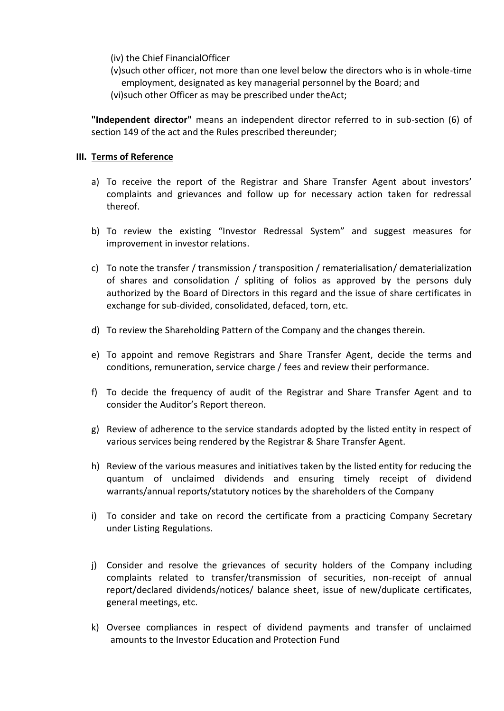(iv) the Chief FinancialOfficer

(v)such other officer, not more than one level below the directors who is in whole-time employment, designated as key managerial personnel by the Board; and (vi)such other Officer as may be prescribed under theAct;

**"Independent director"** means an independent director referred to in sub-section (6) of section 149 of the act and the Rules prescribed thereunder;

### **III. Terms of Reference**

- a) To receive the report of the Registrar and Share Transfer Agent about investors' complaints and grievances and follow up for necessary action taken for redressal thereof.
- b) To review the existing "Investor Redressal System" and suggest measures for improvement in investor relations.
- c) To note the transfer / transmission / transposition / rematerialisation/ dematerialization of shares and consolidation / spliting of folios as approved by the persons duly authorized by the Board of Directors in this regard and the issue of share certificates in exchange for sub-divided, consolidated, defaced, torn, etc.
- d) To review the Shareholding Pattern of the Company and the changes therein.
- e) To appoint and remove Registrars and Share Transfer Agent, decide the terms and conditions, remuneration, service charge / fees and review their performance.
- f) To decide the frequency of audit of the Registrar and Share Transfer Agent and to consider the Auditor's Report thereon.
- g) Review of adherence to the service standards adopted by the listed entity in respect of various services being rendered by the Registrar & Share Transfer Agent.
- h) Review of the various measures and initiatives taken by the listed entity for reducing the quantum of unclaimed dividends and ensuring timely receipt of dividend warrants/annual reports/statutory notices by the shareholders of the Company
- i) To consider and take on record the certificate from a practicing Company Secretary under Listing Regulations.
- j) Consider and resolve the grievances of security holders of the Company including complaints related to transfer/transmission of securities, non-receipt of annual report/declared dividends/notices/ balance sheet, issue of new/duplicate certificates, general meetings, etc.
- k) Oversee compliances in respect of dividend payments and transfer of unclaimed amounts to the Investor Education and Protection Fund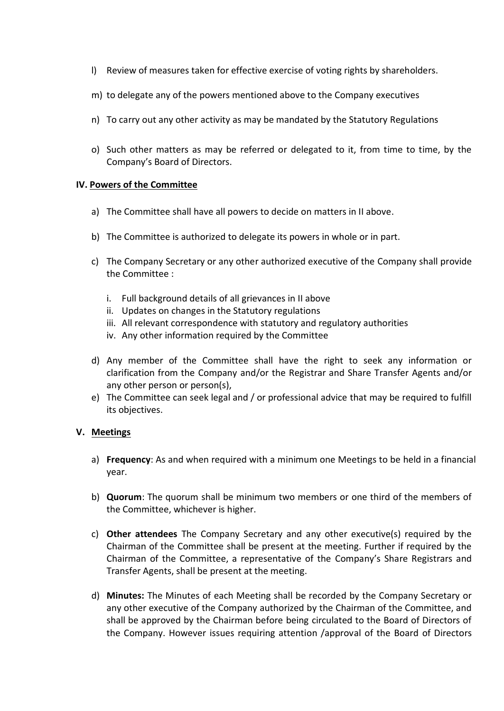- l) Review of measures taken for effective exercise of voting rights by shareholders.
- m) to delegate any of the powers mentioned above to the Company executives
- n) To carry out any other activity as may be mandated by the Statutory Regulations
- o) Such other matters as may be referred or delegated to it, from time to time, by the Company's Board of Directors.

#### **IV. Powers of the Committee**

- a) The Committee shall have all powers to decide on matters in II above.
- b) The Committee is authorized to delegate its powers in whole or in part.
- c) The Company Secretary or any other authorized executive of the Company shall provide the Committee :
	- i. Full background details of all grievances in II above
	- ii. Updates on changes in the Statutory regulations
	- iii. All relevant correspondence with statutory and regulatory authorities
	- iv. Any other information required by the Committee
- d) Any member of the Committee shall have the right to seek any information or clarification from the Company and/or the Registrar and Share Transfer Agents and/or any other person or person(s),
- e) The Committee can seek legal and / or professional advice that may be required to fulfill its objectives.

#### **V. Meetings**

- a) **Frequency**: As and when required with a minimum one Meetings to be held in a financial year.
- b) **Quorum**: The quorum shall be minimum two members or one third of the members of the Committee, whichever is higher.
- c) **Other attendees** The Company Secretary and any other executive(s) required by the Chairman of the Committee shall be present at the meeting. Further if required by the Chairman of the Committee, a representative of the Company's Share Registrars and Transfer Agents, shall be present at the meeting.
- d) **Minutes:** The Minutes of each Meeting shall be recorded by the Company Secretary or any other executive of the Company authorized by the Chairman of the Committee, and shall be approved by the Chairman before being circulated to the Board of Directors of the Company. However issues requiring attention /approval of the Board of Directors